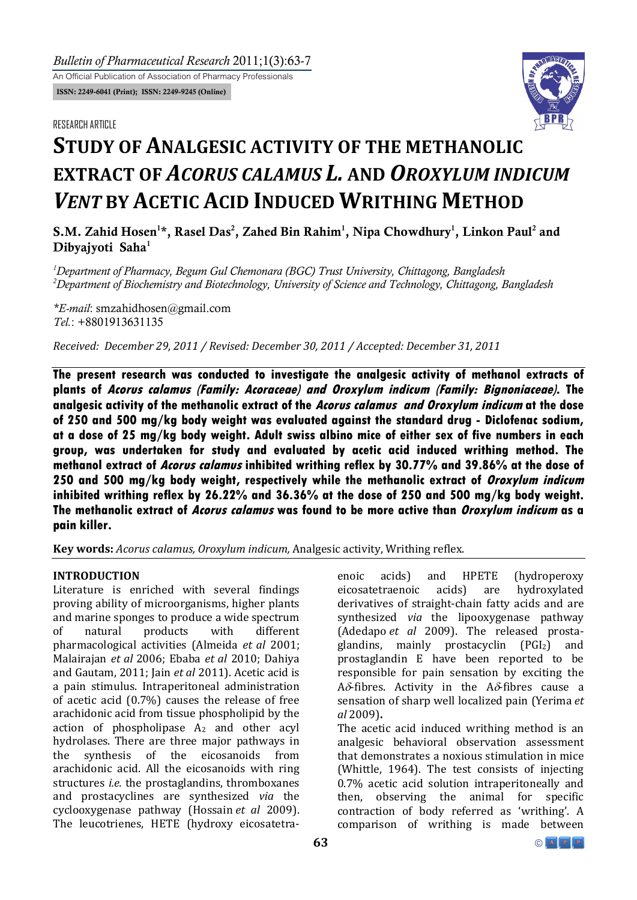*Bulletin of Pharmaceutical Research* 2011;1(3):63-7

An Official Publication of Association of Pharmacy Professionals

ISSN: 2249-6041 (Print); ISSN: 2249-9245 (Online)

#### RESEARCH ARTICLE



# **STUDY OF ANALGESIC ACTIVITY OF THE METHANOLIC EXTRACT OF** *ACORUS CALAMUS L.* **AND** *OROXYLUM INDICUM VENT* **BY ACETIC ACID INDUCED WRITHING METHOD**

S.M. Zahid Hosen<sup>1\*</sup>, Rasel Das<sup>2</sup>, Zahed Bin Rahim<sup>1</sup>, Nipa Chowdhury<sup>1</sup>, Linkon Paul<sup>2</sup> and Dibyajyoti Saha<sup>1</sup>

*1 Department of Pharmacy, Begum Gul Chemonara (BGC) Trust University, Chittagong, Bangladesh 2 Department of Biochemistry and Biotechnology, University of Science and Technology, Chittagong, Bangladesh* 

*\*E-mail*: smzahidhosen@gmail.com *Tel.*: +8801913631135

*Received: December 29, 2011 / Revised: December 30, 2011 / Accepted: December 31, 2011*

**The present research was conducted to investigate the analgesic activity of methanol extracts of plants of Acorus calamus (Family: Acoraceae) and Oroxylum indicum (Family: Bignoniaceae). The analgesic activity of the methanolic extract of the Acorus calamus and Oroxylum indicum at the dose of 250 and 500 mg/kg body weight was evaluated against the standard drug - Diclofenac sodium, at a dose of 25 mg/kg body weight. Adult swiss albino mice of either sex of five numbers in each group, was undertaken for study and evaluated by acetic acid induced writhing method. The methanol extract of Acorus calamus inhibited writhing reflex by 30.77% and 39.86% at the dose of 250 and 500 mg/kg body weight, respectively while the methanolic extract of Oroxylum indicum inhibited writhing reflex by 26.22% and 36.36% at the dose of 250 and 500 mg/kg body weight. The methanolic extract of Acorus calamus was found to be more active than Oroxylum indicum as a pain killer.**

**Key words:** *Acorus calamus, Oroxylum indicum,* Analgesic activity, Writhing reflex.

# **INTRODUCTION**

Literature is enriched with several findings proving ability of microorganisms, higher plants and marine sponges to produce a wide spectrum of natural products with different pharmacological activities (Almeida *et al* 2001; Malairajan *et al* 2006; Ebaba *et al* 2010; Dahiya and Gautam, 2011; Jain *et al* 2011). Acetic acid is a pain stimulus. Intraperitoneal administration of acetic acid (0.7%) causes the release of free arachidonic acid from tissue phospholipid by the action of phospholipase  $A_2$  and other acyl hydrolases. There are three major pathways in the synthesis of the eicosanoids from arachidonic acid. All the eicosanoids with ring structures *i.e.* the prostaglandins, thromboxanes and prostacyclines are synthesized *via* the cyclooxygenase pathway (Hossain *et al* 2009). The leucotrienes, HETE (hydroxy eicosatetraenoic acids) and HPETE (hydroperoxy eicosatetraenoic acids) are hydroxylated derivatives of straight-chain fatty acids and are synthesized *via* the lipooxygenase pathway (Adedapo *et al* 2009). The released prostaglandins, mainly prostacyclin  $(PGI<sub>2</sub>)$  and prostaglandin E have been reported to be responsible for pain sensation by exciting the  $A\delta$ -fibres. Activity in the  $A\delta$ -fibres cause a sensation of sharp well localized pain (Yerima *et al* 2009)**.**

The acetic acid induced writhing method is an analgesic behavioral observation assessment that demonstrates a noxious stimulation in mice (Whittle, 1964). The test consists of injecting 0.7% acetic acid solution intraperitoneally and then, observing the animal for specific contraction of body referred as 'writhing'. A comparison of writhing is made between

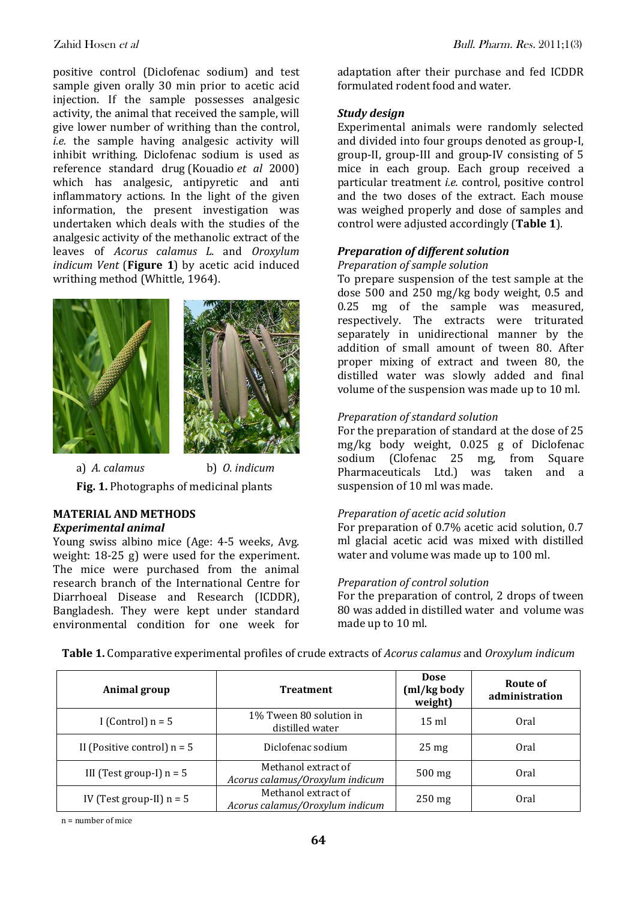positive control (Diclofenac sodium) and test sample given orally 30 min prior to acetic acid injection. If the sample possesses analgesic activity, the animal that received the sample, will give lower number of writhing than the control, *i.e.* the sample having analgesic activity will inhibit writhing. Diclofenac sodium is used as reference standard drug (Kouadio *et al* 2000) which has analgesic, antipyretic and anti inflammatory actions. In the light of the given information, the present investigation was undertaken which deals with the studies of the analgesic activity of the methanolic extract of the leaves of *Acorus calamus L.* and *Oroxylum indicum Vent* (**Figure 1**) by acetic acid induced writhing method (Whittle, 1964).



 a) *A. calamus* b) *O. indicum*  **Fig. 1.** Photographs of medicinal plants

#### **MATERIAL AND METHODS** *Experimental animal*

Young swiss albino mice (Age: 4-5 weeks, Avg. weight: 18-25 g) were used for the experiment. The mice were purchased from the animal research branch of the International Centre for Diarrhoeal Disease and Research (ICDDR), Bangladesh. They were kept under standard environmental condition for one week for adaptation after their purchase and fed ICDDR formulated rodent food and water.

# *Study design*

Experimental animals were randomly selected and divided into four groups denoted as group-I, group-II, group-III and group-IV consisting of 5 mice in each group. Each group received a particular treatment *i.e.* control, positive control and the two doses of the extract. Each mouse was weighed properly and dose of samples and control were adjusted accordingly (**Table 1**).

# *Preparation of different solution*

#### *Preparation of sample solution*

To prepare suspension of the test sample at the dose 500 and 250 mg/kg body weight, 0.5 and 0.25 mg of the sample was measured, respectively. The extracts were triturated separately in unidirectional manner by the addition of small amount of tween 80. After proper mixing of extract and tween 80, the distilled water was slowly added and final volume of the suspension was made up to 10 ml.

# *Preparation of standard solution*

For the preparation of standard at the dose of 25 mg/kg body weight, 0.025 g of Diclofenac sodium (Clofenac 25 mg, from Square Pharmaceuticals Ltd.) was taken and a suspension of 10 ml was made.

# *Preparation of acetic acid solution*

For preparation of 0.7% acetic acid solution, 0.7 ml glacial acetic acid was mixed with distilled water and volume was made up to 100 ml.

# *Preparation of control solution*

For the preparation of control, 2 drops of tween 80 was added in distilled water and volume was made up to 10 ml.

**Table 1.** Comparative experimental profiles of crude extracts of *Acorus calamus* and *Oroxylum indicum*

| Animal group                  | <b>Treatment</b>                                       | <b>Dose</b><br>(ml/kg body<br>weight) | Route of<br>administration |  |
|-------------------------------|--------------------------------------------------------|---------------------------------------|----------------------------|--|
| I (Control) $n = 5$           | 1% Tween 80 solution in<br>distilled water             | $15 \text{ ml}$                       | Oral                       |  |
| II (Positive control) $n = 5$ | Diclofenac sodium                                      | $25 \,\mathrm{mg}$                    | Oral                       |  |
| III (Test group-I) $n = 5$    | Methanol extract of<br>Acorus calamus/Oroxylum indicum | $500 \,\mathrm{mg}$                   | Oral                       |  |
| IV (Test group-II) $n = 5$    | Methanol extract of<br>Acorus calamus/Oroxylum indicum | $250 \text{ mg}$                      | Oral                       |  |

n = number of mice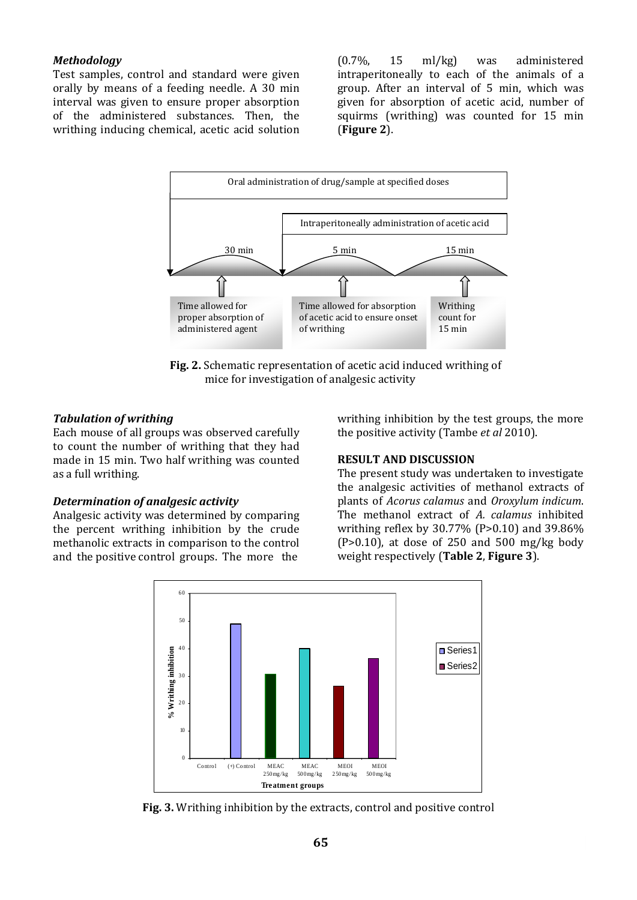# *Methodology*

Test samples, control and standard were given orally by means of a feeding needle. A 30 min interval was given to ensure proper absorption of the administered substances. Then, the writhing inducing chemical, acetic acid solution (0.7%, 15 ml/kg) was administered intraperitoneally to each of the animals of a group. After an interval of 5 min, which was given for absorption of acetic acid, number of squirms (writhing) was counted for 15 min (**Figure 2**).



 **Fig. 2.** Schematic representation of acetic acid induced writhing of mice for investigation of analgesic activity

#### *Tabulation of writhing*

Each mouse of all groups was observed carefully to count the number of writhing that they had made in 15 min. Two half writhing was counted as a full writhing.

#### *Determination of analgesic activity*

Analgesic activity was determined by comparing the percent writhing inhibition by the crude methanolic extracts in comparison to the control and the positive control groups. The more the

writhing inhibition by the test groups, the more the positive activity (Tambe *et al* 2010).

#### **RESULT AND DISCUSSION**

The present study was undertaken to investigate the analgesic activities of methanol extracts of plants of *Acorus calamus* and *Oroxylum indicum*. The methanol extract of *A. calamus* inhibited writhing reflex by 30.77% (P>0.10) and 39.86%  $(P>0.10)$ , at dose of 250 and 500 mg/kg body weight respectively (**Table 2**, **Figure 3**).



**Fig. 3.** Writhing inhibition by the extracts, control and positive control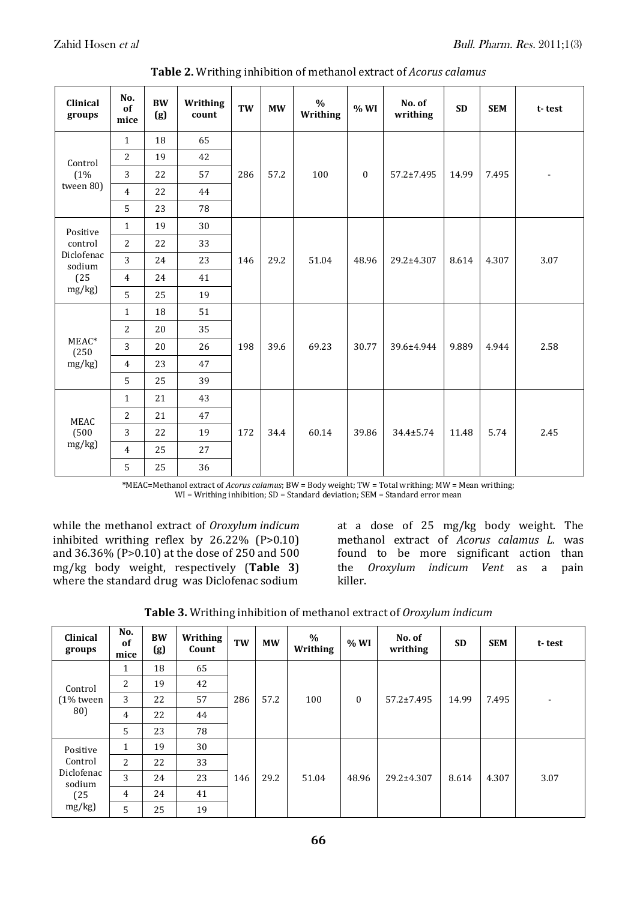| Clinical<br>groups   | No.<br>of<br>mice | <b>BW</b><br>(g) | Writhing<br>count | TW  | <b>MW</b> | $\%$<br>Writhing | $%$ WI       | No. of<br>writhing | <b>SD</b> | <b>SEM</b> | t-test |
|----------------------|-------------------|------------------|-------------------|-----|-----------|------------------|--------------|--------------------|-----------|------------|--------|
| Control              | $\mathbf{1}$      | 18               | 65                | 286 | 57.2      | 100              |              |                    |           | 7.495      |        |
|                      | 2                 | 19               | 42                |     |           |                  |              |                    |           |            |        |
| (1%                  | 3                 | 22               | 57                |     |           |                  | $\mathbf{0}$ | 57.2±7.495         | 14.99     |            |        |
| tween 80)            | 4                 | 22               | 44                |     |           |                  |              |                    |           |            |        |
|                      | 5                 | 23               | 78                |     |           |                  |              |                    |           |            |        |
| Positive             | $\mathbf{1}$      | 19               | 30                |     | 29.2      | 51.04            |              |                    | 8.614     | 4.307      | 3.07   |
| control              | 2                 | 22               | 33                |     |           |                  | 48.96        | 29.2±4.307         |           |            |        |
| Diclofenac<br>sodium | 3                 | 24               | 23                | 146 |           |                  |              |                    |           |            |        |
| (25)                 | 4                 | 24               | 41                |     |           |                  |              |                    |           |            |        |
| mg/kg                | 5                 | 25               | 19                |     |           |                  |              |                    |           |            |        |
|                      | $\mathbf{1}$      | 18               | 51                | 198 | 39.6      | 69.23            | 30.77        | 39.6±4.944         | 9.889     | 4.944      | 2.58   |
|                      | 2                 | 20               | 35                |     |           |                  |              |                    |           |            |        |
| MEAC*<br>(250)       | 3                 | 20               | 26                |     |           |                  |              |                    |           |            |        |
| mg/kg                | $\overline{4}$    | 23               | 47                |     |           |                  |              |                    |           |            |        |
|                      | 5                 | 25               | 39                |     |           |                  |              |                    |           |            |        |
|                      | $\mathbf{1}$      | 21               | 43                | 172 | 34.4      | 60.14            | 39.86        | 34.4±5.74          | 11.48     | 5.74       | 2.45   |
| <b>MEAC</b><br>(500) | 2                 | 21               | 47                |     |           |                  |              |                    |           |            |        |
|                      | 3                 | 22               | 19                |     |           |                  |              |                    |           |            |        |
| mg/kg                | 4                 | 25               | 27                |     |           |                  |              |                    |           |            |        |
|                      | 5                 | 25               | 36                |     |           |                  |              |                    |           |            |        |

**Table 2.** Writhing inhibition of methanol extract of *Acorus calamus*

**\***MEAC=Methanol extract of *Acorus calamus*; BW = Body weight; TW = Total writhing; MW = Mean writhing; WI = Writhing inhibition; SD = Standard deviation; SEM = Standard error mean

while the methanol extract of *Oroxylum indicum* inhibited writhing reflex by 26.22% (P>0.10) and 36.36% (P>0.10) at the dose of 250 and 500 mg/kg body weight, respectively (**Table 3**) where the standard drug was Diclofenac sodium

at a dose of 25 mg/kg body weight. The methanol extract of *Acorus calamus L.* was found to be more significant action than the *Oroxylum indicum Vent* as a pain killer.

| <b>Table 3.</b> Writhing inhibition of methanol extract of <i>Oroxylum indicum</i> |  |  |
|------------------------------------------------------------------------------------|--|--|
|------------------------------------------------------------------------------------|--|--|

| Clinical<br>groups                                           | No.<br>of<br>mice | <b>BW</b><br>(g) | Writhing<br>Count | TW  | <b>MW</b> | $\%$<br>Writhing | $%$ WI   | No. of<br>writhing | <b>SD</b> | <b>SEM</b> | t-test                   |
|--------------------------------------------------------------|-------------------|------------------|-------------------|-----|-----------|------------------|----------|--------------------|-----------|------------|--------------------------|
|                                                              | 1                 | 18               | 65                |     | 57.2      | 100              | $\Omega$ | $57.2 \pm 7.495$   | 14.99     | 7.495      | $\overline{\phantom{a}}$ |
| Control                                                      | 2                 | 19               | 42                |     |           |                  |          |                    |           |            |                          |
| $(1\%$ tween<br>80)                                          | 3                 | 22               | 57                | 286 |           |                  |          |                    |           |            |                          |
|                                                              | 4                 | 22               | 44                |     |           |                  |          |                    |           |            |                          |
|                                                              | 5                 | 23               | 78                |     |           |                  |          |                    |           |            |                          |
| Positive<br>Control<br>Diclofenac<br>sodium<br>(25)<br>mg/kg | 1                 | 19               | 30                |     | 29.2      | 51.04            | 48.96    | 29.2±4.307         | 8.614     | 4.307      | 3.07                     |
|                                                              | 2                 | 22               | 33                | 146 |           |                  |          |                    |           |            |                          |
|                                                              | 3                 | 24               | 23                |     |           |                  |          |                    |           |            |                          |
|                                                              | 4                 | 24               | 41                |     |           |                  |          |                    |           |            |                          |
|                                                              | 5                 | 25               | 19                |     |           |                  |          |                    |           |            |                          |